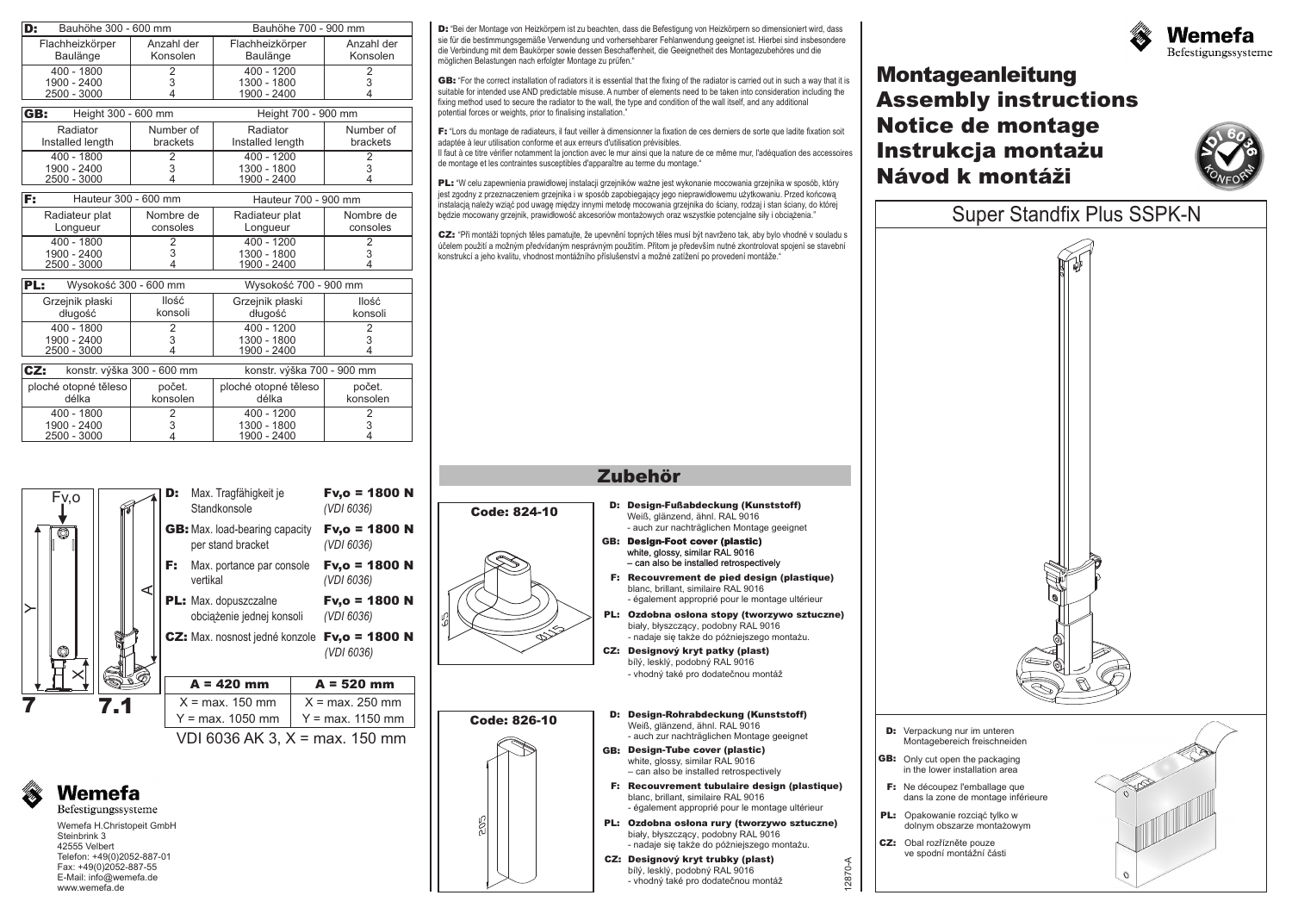| Bauhöhe 300 - 600 mm<br>D:        |                | Bauhöhe 700 - 900 mm       |                |
|-----------------------------------|----------------|----------------------------|----------------|
| Flachheizkörper                   | Anzahl der     | Flachheizkörper            | Anzahl der     |
| Baulänge                          | Konsolen       | Baulänge                   | Konsolen       |
| $400 - 1800$                      | $\overline{2}$ | $400 - 1200$               | $\overline{2}$ |
| 1900 - 2400                       | 3              | 1300 - 1800                | 3              |
| 2500 - 3000                       | 4              | 1900 - 2400                | 4              |
| GB:<br>Height 300 - 600 mm        |                | Height 700 - 900 mm        |                |
| Radiator                          | Number of      | Radiator                   | Number of      |
| Installed length                  | brackets       | Installed length           | brackets       |
| $400 - 1800$                      | 2              | $400 - 1200$               | 2              |
| 1900 - 2400                       | 3              | 1300 - 1800                | 3              |
| 2500 - 3000                       | Δ              | 1900 - 2400                | 4              |
| Hauteur 300 - 600 mm<br>F:        |                | Hauteur 700 - 900 mm       |                |
| Radiateur plat                    | Nombre de      | Radiateur plat             | Nombre de      |
| Longueur                          | consoles       | Longueur                   | consoles       |
| $400 - 1800$                      | $\overline{2}$ | $400 - 1200$               | 2              |
| 1900 - 2400                       | 3              | 1300 - 1800                | 3              |
| 2500 - 3000                       | 4              | 1900 - 2400                | 4              |
| Wysokość 300 - 600 mm<br>PL:      |                | Wysokość 700 - 900 mm      |                |
| Grzejnik płaski                   | llość          | Grzejnik płaski            | llość          |
| długość                           | konsoli        | długość                    | konsoli        |
| $400 - 1800$                      | 2              | $400 - 1200$               | $\overline{2}$ |
| 1900 - 2400                       | 3              | 1300 - 1800                | 3              |
| 2500 - 3000                       | 4              | 1900 - 2400                | 4              |
| CZ:<br>konstr. výška 300 - 600 mm |                | konstr. výška 700 - 900 mm |                |
| ploché otopné těleso              | počet.         | ploché otopné těleso       | počet.         |
| délka                             | konsolen       | délka                      | konsolen       |
| $400 - 1800$                      | 2              | 400 - 1200                 | 2              |
| 1900 - 2400                       | 3              | 1300 - 1800                | 3              |

Wemefa H.Christopeit GmbH

**Wemefa** Befestigungssysteme

⊲⊡

vertikal *(*

**D:** Max. Tragfähigkeit je **Standkonsole** 

**A = 420 mm**  $X = max. 150$  mm  $Y = max. 1050$  mm

3 4

1900 - 2400

per stand bracket *(VDI 6036)*

obciàýenie jednej konsoli *(VDI 6036)*

4

*VDI 6036)*

*(VDI 6036)*

*(VDI 6036)*

**A = 520 mm**  $X = max. 250$  mm

Steinbrink 3 42555 Velbert Telefon: +49(0)2052-887-01 Fax: +49(0)2052-887-55 E-Mail: info@wemefa.de www.wemefa.de

**7 7.1**

 $\times$ 

Fv,o

 $\overline{\circ}$ 

2500 - 3000

 $\succ$ 

D: "Bei der Montage von Heizkörpern ist zu beachten, dass die Befestigung von Heizkörpern so dimensioniert wird, dass sie für die bestimmungsgemäße Verwendung und vorhersehbarer Fehlanwendung geeignet ist. Hierbei sind insbesondere die Verbindung mit dem Baukörper sowie dessen Beschaffenheit, die Geeignetheit des Montagezubehöres und die möglichen Belastungen nach erfolgter Montage zu prüfen."

**GB:** "For the correct installation of radiators it is essential that the fixing of the radiator is carried out in such a way that it is suitable for intended use AND predictable misuse. A number of elements need to be taken into consideration including the fixing method used to secure the radiator to the wall, the type and condition of the wall itself, and any additional potential forces or weights, prior to finalising installation."

**F:** "Lors du montage de radiateurs, il faut veiller à dimensionner la fixation de ces derniers de sorte que ladite fixation soit adaptée à leur utilisation conforme et aux erreurs d'utilisation prévisibles.

Il faut à ce titre vérifier notamment la jonction avec le mur ainsi que la nature de ce même mur, l'adéquation des accessoires de montage et les contraintes susceptibles d'apparaître au terme du montage."

PL: "W celu zapewnienia prawidłowej instalacji grzejników ważne jest wykonanie mocowania grzejnika w sposób, który jest zgodny z przeznaczeniem grzejnika i w sposób zapobiegający jego nieprawidłowemu użytkowaniu. Przed końcową instalacia należy wziać pod uwage miedzy innymi metode mocowania grzejnika do ściany, rodzaj i stan ściany, do której bedzie mocowany grzejnik, prawidłowość akcesoriów montażowych oraz wszystkie potencjalne siły i obciążenia."

CZ: "Při montáži topných těles pamatujte, že upevnění topných těles musí být navrženo tak, aby bylo vhodné v souladu s účelem použití a možným předvídaným nesprávným použitím. Přitom je především nutné zkontrolovat spojení se stavební konstrukcí a jeho kvalitu, vhodnost montážního příslušenství a možné zatížení po provedení montáže. "

## **Zubehör**

Weiß, glänzend, ähnl. RAL 9016 - auch zur nachträglichen Montage geeignet

white, glossy, similar RAL 9016 – can also be installed retrospectively

blanc, brillant, similaire RAL 9016

bílý, lesklý, podobný RAL 9016 - vhodný také pro dodateènou montáž

biały, błyszczący, podobny RAL 9016 - nadaje siê takýe do pó¿niejszego monta¿u.

- également approprié pour le montage ultérieur

bílý, lesklý, podobný RAL 9016

biały, błyszczący, podobny RAL 9016

- vhodný také pro dodatečnou montáž

- nadaje się także do póżniejszego montażu.

- également approprié pour le montage ultérieur

Weiß, glänzend, ähnl. RAL 9016

white, glossy, similar RAL 9016 – can also be installed retrospectively

blanc, brillant, similaire RAL 9016

- auch zur nachträglichen Montage geeignet



**Montageanleitung Assembly instructions Notice de montage Návod k montáži Instrukcja montaýu**





- **PL:** Opakowanie rozciąć tylko w dolnym obszarze monta¿owym
- CZ: Obal rozřízněte pouze

12870-A



- 
- ve spodní montážní části